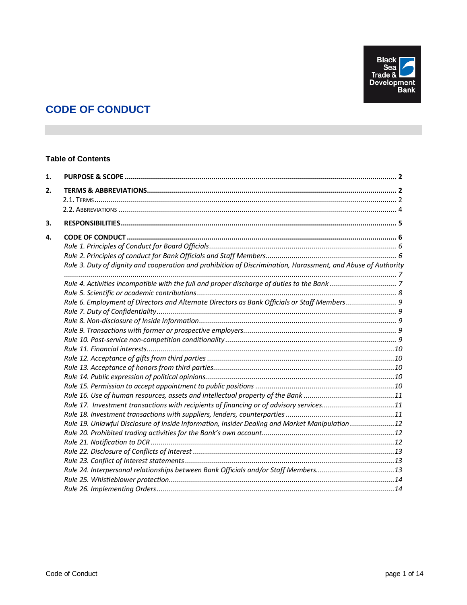

# **CODE OF CONDUCT**

# **Table of Contents**

| 1. |                                                                                                               |  |
|----|---------------------------------------------------------------------------------------------------------------|--|
| 2. |                                                                                                               |  |
|    |                                                                                                               |  |
|    |                                                                                                               |  |
| 3. |                                                                                                               |  |
| 4. |                                                                                                               |  |
|    |                                                                                                               |  |
|    |                                                                                                               |  |
|    | Rule 3. Duty of dignity and cooperation and prohibition of Discrimination, Harassment, and Abuse of Authority |  |
|    |                                                                                                               |  |
|    |                                                                                                               |  |
|    | Rule 6. Employment of Directors and Alternate Directors as Bank Officials or Staff Members 9                  |  |
|    |                                                                                                               |  |
|    |                                                                                                               |  |
|    |                                                                                                               |  |
|    |                                                                                                               |  |
|    |                                                                                                               |  |
|    |                                                                                                               |  |
|    |                                                                                                               |  |
|    |                                                                                                               |  |
|    |                                                                                                               |  |
|    |                                                                                                               |  |
|    | Rule 17. Investment transactions with recipients of financing or of advisory services11                       |  |
|    |                                                                                                               |  |
|    | Rule 19. Unlawful Disclosure of Inside Information, Insider Dealing and Market Manipulation12                 |  |
|    |                                                                                                               |  |
|    |                                                                                                               |  |
|    |                                                                                                               |  |
|    |                                                                                                               |  |
|    | Rule 24. Interpersonal relationships between Bank Officials and/or Staff Members13                            |  |
|    |                                                                                                               |  |
|    |                                                                                                               |  |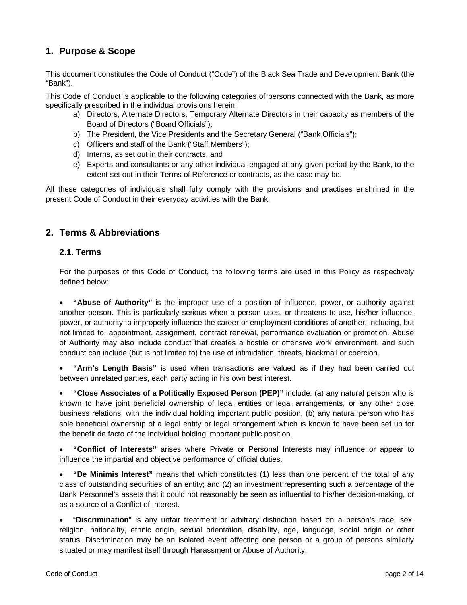# <span id="page-1-0"></span>**1. Purpose & Scope**

This document constitutes the Code of Conduct ("Code") of the Black Sea Trade and Development Bank (the "Bank").

This Code of Conduct is applicable to the following categories of persons connected with the Bank, as more specifically prescribed in the individual provisions herein:

- a) Directors, Alternate Directors, Temporary Alternate Directors in their capacity as members of the Board of Directors ("Board Officials");
- b) The President, the Vice Presidents and the Secretary General ("Bank Officials");
- c) Officers and staff of the Bank ("Staff Members");
- d) Interns, as set out in their contracts, and
- e) Experts and consultants or any other individual engaged at any given period by the Bank, to the extent set out in their Terms of Reference or contracts, as the case may be.

All these categories of individuals shall fully comply with the provisions and practises enshrined in the present Code of Conduct in their everyday activities with the Bank.

# <span id="page-1-1"></span>**2. Terms & Abbreviations**

# <span id="page-1-2"></span>**2.1. Terms**

For the purposes of this Code of Conduct, the following terms are used in this Policy as respectively defined below:

• **"Abuse of Authority"** is the improper use of a position of influence, power, or authority against another person. This is particularly serious when a person uses, or threatens to use, his/her influence, power, or authority to improperly influence the career or employment conditions of another, including, but not limited to, appointment, assignment, contract renewal, performance evaluation or promotion. Abuse of Authority may also include conduct that creates a hostile or offensive work environment, and such conduct can include (but is not limited to) the use of intimidation, threats, blackmail or coercion.

• **"Arm's Length Basis"** is used when transactions are valued as if they had been carried out between unrelated parties, each party acting in his own best interest.

• **"Close Associates of a Politically Exposed Person (PEP)"** include: (a) any natural person who is known to have joint beneficial ownership of legal entities or legal arrangements, or any other close business relations, with the individual holding important public position, (b) any natural person who has sole beneficial ownership of a legal entity or legal arrangement which is known to have been set up for the benefit de facto of the individual holding important public position.

• **"Conflict of Interests"** arises where Private or Personal Interests may influence or appear to influence the impartial and objective performance of official duties.

• **"De Minimis Interest"** means that which constitutes (1) less than one percent of the total of any class of outstanding securities of an entity; and (2) an investment representing such a percentage of the Bank Personnel's assets that it could not reasonably be seen as influential to his/her decision-making, or as a source of a Conflict of Interest.

• "**Discrimination**" is any unfair treatment or arbitrary distinction based on a person's race, sex, religion, nationality, ethnic origin, sexual orientation, disability, age, language, social origin or other status. Discrimination may be an isolated event affecting one person or a group of persons similarly situated or may manifest itself through Harassment or Abuse of Authority.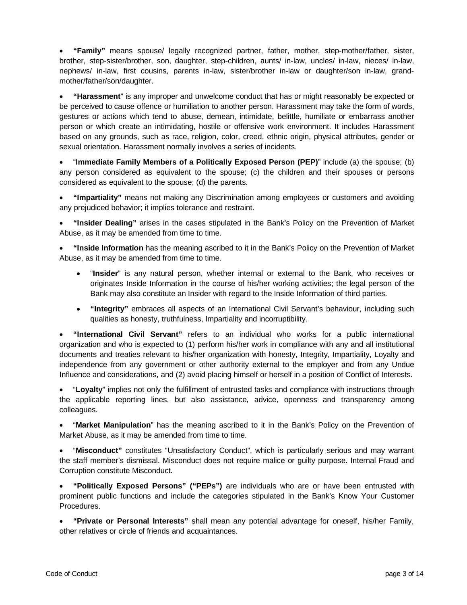• **"Family"** means spouse/ legally recognized partner, father, mother, step-mother/father, sister, brother, step-sister/brother, son, daughter, step-children, aunts/ in-law, uncles/ in-law, nieces/ in-law, nephews/ in-law, first cousins, parents in-law, sister/brother in-law or daughter/son in-law, grandmother/father/son/daughter.

• **"Harassment**" is any improper and unwelcome conduct that has or might reasonably be expected or be perceived to cause offence or humiliation to another person. Harassment may take the form of words, gestures or actions which tend to abuse, demean, intimidate, belittle, humiliate or embarrass another person or which create an intimidating, hostile or offensive work environment. It includes Harassment based on any grounds, such as race, religion, color, creed, ethnic origin, physical attributes, gender or sexual orientation. Harassment normally involves a series of incidents.

• "**Immediate Family Members of a Politically Exposed Person (PEP)**" include (a) the spouse; (b) any person considered as equivalent to the spouse; (c) the children and their spouses or persons considered as equivalent to the spouse; (d) the parents.

• **"Impartiality"** means not making any Discrimination among employees or customers and avoiding any prejudiced behavior; it implies tolerance and restraint.

• **"Insider Dealing"** arises in the cases stipulated in the Bank's Policy on the Prevention of Market Abuse, as it may be amended from time to time.

• **"Inside Information** has the meaning ascribed to it in the Bank's Policy on the Prevention of Market Abuse, as it may be amended from time to time.

- "**Insider**" is any natural person, whether internal or external to the Bank, who receives or originates Inside Information in the course of his/her working activities; the legal person of the Bank may also constitute an Insider with regard to the Inside Information of third parties.
- **"Integrity"** embraces all aspects of an International Civil Servant's behaviour, including such qualities as honesty, truthfulness, Impartiality and incorruptibility.

• **"International Civil Servant"** refers to an individual who works for a public international organization and who is expected to (1) perform his/her work in compliance with any and all institutional documents and treaties relevant to his/her organization with honesty, Integrity, Impartiality, Loyalty and independence from any government or other authority external to the employer and from any Undue Influence and considerations, and (2) avoid placing himself or herself in a position of Conflict of Interests.

• "**Loyalty**" implies not only the fulfillment of entrusted tasks and compliance with instructions through the applicable reporting lines, but also assistance, advice, openness and transparency among colleagues.

• "**Market Manipulation**" has the meaning ascribed to it in the Bank's Policy on the Prevention of Market Abuse, as it may be amended from time to time.

• "**Misconduct"** constitutes "Unsatisfactory Conduct", which is particularly serious and may warrant the staff member's dismissal. Misconduct does not require malice or guilty purpose. Internal Fraud and Corruption constitute Misconduct.

• **"Politically Exposed Persons" ("PEPs")** are individuals who are or have been entrusted with prominent public functions and include the categories stipulated in the Bank's Know Your Customer Procedures.

• **"Private or Personal Ιnterests"** shall mean any potential advantage for oneself, his/her Family, other relatives or circle of friends and acquaintances.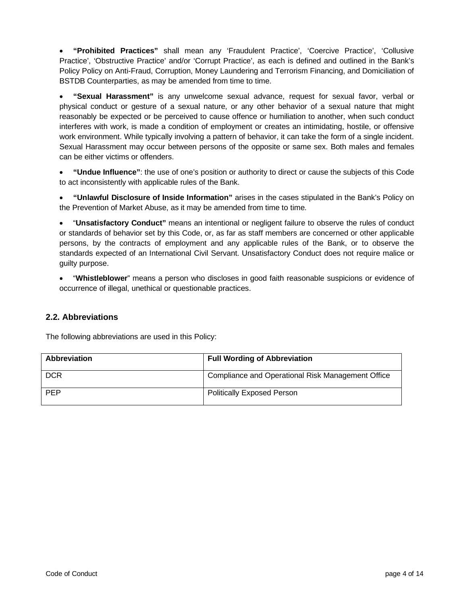• **"Prohibited Practices"** shall mean any 'Fraudulent Practice', 'Coercive Practice', 'Collusive Practice', 'Obstructive Practice' and/or 'Corrupt Practice', as each is defined and outlined in the Bank's Policy Policy on Anti-Fraud, Corruption, Money Laundering and Terrorism Financing, and Domiciliation of BSTDB Counterparties, as may be amended from time to time.

• **"Sexual Harassment"** is any unwelcome sexual advance, request for sexual favor, verbal or physical conduct or gesture of a sexual nature, or any other behavior of a sexual nature that might reasonably be expected or be perceived to cause offence or humiliation to another, when such conduct interferes with work, is made a condition of employment or creates an intimidating, hostile, or offensive work environment. While typically involving a pattern of behavior, it can take the form of a single incident. Sexual Harassment may occur between persons of the opposite or same sex. Both males and females can be either victims or offenders.

• **"Undue Influence"**: the use of one's position or authority to direct or cause the subjects of this Code to act inconsistently with applicable rules of the Bank.

• **"Unlawful Disclosure of Inside Information"** arises in the cases stipulated in the Bank's Policy on the Prevention of Market Abuse, as it may be amended from time to time.

• "**Unsatisfactory Conduct"** means an intentional or negligent failure to observe the rules of conduct or standards of behavior set by this Code, or, as far as staff members are concerned or other applicable persons, by the contracts of employment and any applicable rules of the Bank, or to observe the standards expected of an International Civil Servant. Unsatisfactory Conduct does not require malice or guilty purpose.

• "**Whistleblower**" means a person who discloses in good faith reasonable suspicions or evidence of occurrence of illegal, unethical or questionable practices.

# <span id="page-3-0"></span>**2.2. Abbreviations**

The following abbreviations are used in this Policy:

| <b>Abbreviation</b> | <b>Full Wording of Abbreviation</b>               |
|---------------------|---------------------------------------------------|
| <b>DCR</b>          | Compliance and Operational Risk Management Office |
| <b>PEP</b>          | <b>Politically Exposed Person</b>                 |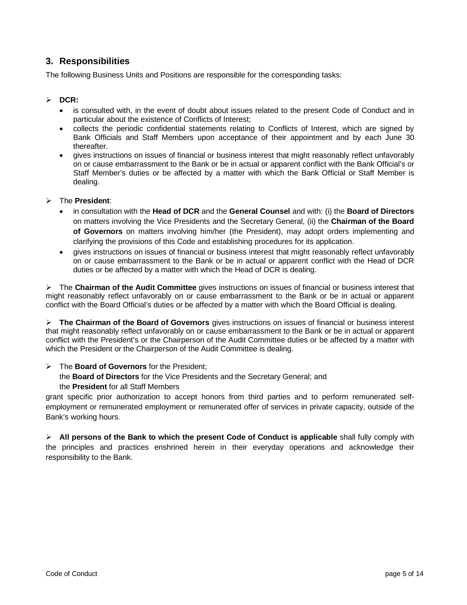# <span id="page-4-0"></span>**3. Responsibilities**

The following Business Units and Positions are responsible for the corresponding tasks:

# **DCR:**

- is consulted with, in the event of doubt about issues related to the present Code of Conduct and in particular about the existence of Conflicts of Ιnterest;
- collects the periodic confidential statements relating to Conflicts of Ιnterest, which are signed by Bank Officials and Staff Members upon acceptance of their appointment and by each June 30 thereafter.
- gives instructions on issues of financial or business interest that might reasonably reflect unfavorably on or cause embarrassment to the Bank or be in actual or apparent conflict with the Bank Official's or Staff Member's duties or be affected by a matter with which the Bank Official or Staff Member is dealing.

## The **President**:

- in consultation with the **Head of DCR** and the **General Counsel** and with: (i) the **Board of Directors** on matters involving the Vice Presidents and the Secretary General, (ii) the **Chairman of the Board of Governors** on matters involving him/her (the President), may adopt orders implementing and clarifying the provisions of this Code and establishing procedures for its application.
- gives instructions on issues of financial or business interest that might reasonably reflect unfavorably on or cause embarrassment to the Bank or be in actual or apparent conflict with the Head of DCR duties or be affected by a matter with which the Head of DCR is dealing.

 The **Chairman of the Audit Committee** gives instructions on issues of financial or business interest that might reasonably reflect unfavorably on or cause embarrassment to the Bank or be in actual or apparent conflict with the Board Official's duties or be affected by a matter with which the Board Official is dealing.

 **The Chairman of the Board of Governors** gives instructions on issues of financial or business interest that might reasonably reflect unfavorably on or cause embarrassment to the Bank or be in actual or apparent conflict with the President's or the Chairperson of the Audit Committee duties or be affected by a matter with which the President or the Chairperson of the Audit Committee is dealing.

# The **Board of Governors** for the President;

the **Board of Directors** for the Vice Presidents and the Secretary General; and the **President** for all Staff Members

grant specific prior authorization to accept honors from third parties and to perform remunerated selfemployment or remunerated employment or remunerated offer of services in private capacity, outside of the Bank's working hours.

 **All persons of the Bank to which the present Code of Conduct is applicable** shall fully comply with the principles and practices enshrined herein in their everyday operations and acknowledge their responsibility to the Bank.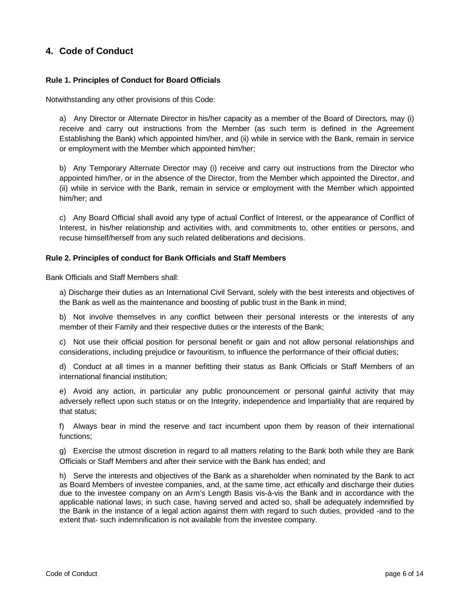# <span id="page-5-1"></span><span id="page-5-0"></span>**4. Code of Conduct**

# **Rule 1. Principles of Conduct for Board Officials**

Notwithstanding any other provisions of this Code:

a) Any Director or Alternate Director in his/her capacity as a member of the Board of Directors*,* may (i) receive and carry out instructions from the Member (as such term is defined in the Agreement Establishing the Bank) which appointed him/her, and (ii) while in service with the Bank, remain in service or employment with the Member which appointed him/her;

b) Any Temporary Alternate Director may (i) receive and carry out instructions from the Director who appointed him/her, or in the absence of the Director, from the Member which appointed the Director, and (ii) while in service with the Bank, remain in service or employment with the Member which appointed him/her; and

c) Any Board Official shall avoid any type of actual Conflict of Interest, or the appearance of Conflict of Interest, in his/her relationship and activities with, and commitments to, other entities or persons, and recuse himself/herself from any such related deliberations and decisions.

## <span id="page-5-2"></span>**Rule 2. Principles of conduct for Bank Officials and Staff Members**

Bank Officials and Staff Members shall:

a) Discharge their duties as an International Civil Servant, solely with the best interests and objectives of the Bank as well as the maintenance and boosting of public trust in the Bank in mind;

b) Not involve themselves in any conflict between their personal interests or the interests of any member of their Family and their respective duties or the interests of the Bank;

c) Not use their official position for personal benefit or gain and not allow personal relationships and considerations, including prejudice or favouritism, to influence the performance of their official duties;

d) Conduct at all times in a manner befitting their status as Bank Officials or Staff Members of an international financial institution;

e) Avoid any action, in particular any public pronouncement or personal gainful activity that may adversely reflect upon such status or on the Integrity, independence and Impartiality that are required by that status;

f) Always bear in mind the reserve and tact incumbent upon them by reason of their international functions;

g) Exercise the utmost discretion in regard to all matters relating to the Bank both while they are Bank Officials or Staff Members and after their service with the Bank has ended; and

h) Serve the interests and objectives of the Bank as a shareholder when nominated by the Bank to act as Board Members of investee companies, and, at the same time, act ethically and discharge their duties due to the investee company on an Arm's Length Basis vis-à-vis the Bank and in accordance with the applicable national laws; in such case, having served and acted so, shall be adequately indemnified by the Bank in the instance of a legal action against them with regard to such duties, provided -and to the extent that- such indemnification is not available from the investee company.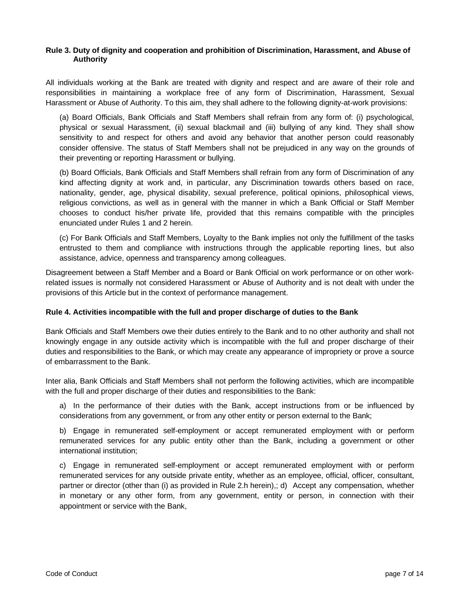# <span id="page-6-0"></span>**Rule 3. Duty of dignity and cooperation and prohibition of Discrimination, Harassment, and Abuse of Authority**

All individuals working at the Bank are treated with dignity and respect and are aware of their role and responsibilities in maintaining a workplace free of any form of Discrimination, Harassment, Sexual Harassment or Abuse of Authority. To this aim, they shall adhere to the following dignity-at-work provisions:

(a) Board Officials, Bank Officials and Staff Members shall refrain from any form of: (i) psychological, physical or sexual Harassment, (ii) sexual blackmail and (iii) bullying of any kind. They shall show sensitivity to and respect for others and avoid any behavior that another person could reasonably consider offensive. The status of Staff Members shall not be prejudiced in any way on the grounds of their preventing or reporting Harassment or bullying.

(b) Board Officials, Bank Officials and Staff Members shall refrain from any form of Discrimination of any kind affecting dignity at work and, in particular, any Discrimination towards others based on race, nationality, gender, age, physical disability, sexual preference, political opinions, philosophical views, religious convictions, as well as in general with the manner in which a Bank Official or Staff Member chooses to conduct his/her private life, provided that this remains compatible with the principles enunciated under Rules 1 and 2 herein.

(c) For Bank Officials and Staff Members, Loyalty to the Bank implies not only the fulfillment of the tasks entrusted to them and compliance with instructions through the applicable reporting lines, but also assistance, advice, openness and transparency among colleagues.

Disagreement between a Staff Member and a Board or Bank Official on work performance or on other workrelated issues is normally not considered Harassment or Abuse of Authority and is not dealt with under the provisions of this Article but in the context of performance management.

# <span id="page-6-1"></span>**Rule 4. Activities incompatible with the full and proper discharge of duties to the Bank**

Bank Officials and Staff Members owe their duties entirely to the Bank and to no other authority and shall not knowingly engage in any outside activity which is incompatible with the full and proper discharge of their duties and responsibilities to the Bank, or which may create any appearance of impropriety or prove a source of embarrassment to the Bank.

Inter alia, Bank Officials and Staff Members shall not perform the following activities, which are incompatible with the full and proper discharge of their duties and responsibilities to the Bank:

a) In the performance of their duties with the Bank, accept instructions from or be influenced by considerations from any government, or from any other entity or person external to the Bank;

b) Engage in remunerated self-employment or accept remunerated employment with or perform remunerated services for any public entity other than the Bank, including a government or other international institution;

c) Engage in remunerated self-employment or accept remunerated employment with or perform remunerated services for any outside private entity, whether as an employee, official, officer, consultant, partner or director (other than (i) as provided in Rule 2.h herein),; d) Accept any compensation, whether in monetary or any other form, from any government, entity or person, in connection with their appointment or service with the Bank,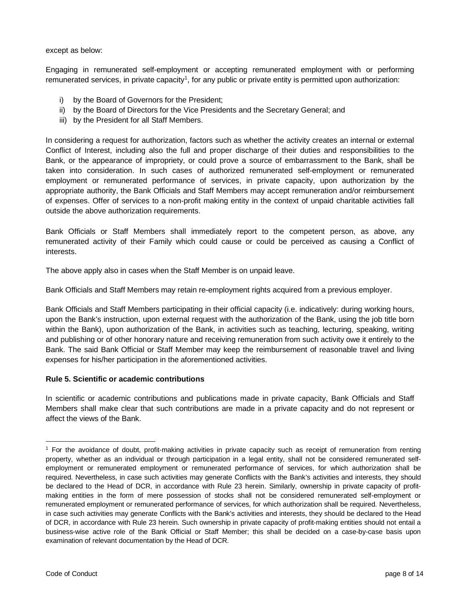except as below:

Engaging in remunerated self-employment or accepting remunerated employment with or performing remunerated services, in private capacity<sup>1</sup>, for any public or private entity is permitted upon authorization:

- i) by the Board of Governors for the President;
- ii) by the Board of Directors for the Vice Presidents and the Secretary General; and
- iii) by the President for all Staff Members.

In considering a request for authorization, factors such as whether the activity creates an internal or external Conflict of Interest, including also the full and proper discharge of their duties and responsibilities to the Bank, or the appearance of impropriety, or could prove a source of embarrassment to the Bank, shall be taken into consideration. In such cases of authorized remunerated self-employment or remunerated employment or remunerated performance of services, in private capacity, upon authorization by the appropriate authority, the Bank Officials and Staff Members may accept remuneration and/or reimbursement of expenses. Offer of services to a non-profit making entity in the context of unpaid charitable activities fall outside the above authorization requirements.

Bank Officials or Staff Members shall immediately report to the competent person, as above, any remunerated activity of their Family which could cause or could be perceived as causing a Conflict of interests.

The above apply also in cases when the Staff Member is on unpaid leave.

Bank Officials and Staff Members may retain re-employment rights acquired from a previous employer.

Bank Officials and Staff Members participating in their official capacity (i.e. indicatively: during working hours, upon the Bank's instruction, upon external request with the authorization of the Bank, using the job title born within the Bank), upon authorization of the Bank, in activities such as teaching, lecturing, speaking, writing and publishing or of other honorary nature and receiving remuneration from such activity owe it entirely to the Bank. The said Bank Official or Staff Member may keep the reimbursement of reasonable travel and living expenses for his/her participation in the aforementioned activities.

## <span id="page-7-0"></span>**Rule 5. Scientific or academic contributions**

In scientific or academic contributions and publications made in private capacity, Bank Officials and Staff Members shall make clear that such contributions are made in a private capacity and do not represent or affect the views of the Bank.

<span id="page-7-1"></span> $<sup>1</sup>$  For the avoidance of doubt, profit-making activities in private capacity such as receipt of remuneration from renting</sup> property, whether as an individual or through participation in a legal entity, shall not be considered remunerated selfemployment or remunerated employment or remunerated performance of services, for which authorization shall be required. Nevertheless, in case such activities may generate Conflicts with the Bank's activities and interests, they should be declared to the Head of DCR, in accordance with Rule 23 herein. Similarly, ownership in private capacity of profitmaking entities in the form of mere possession of stocks shall not be considered remunerated self-employment or remunerated employment or remunerated performance of services, for which authorization shall be required. Nevertheless, in case such activities may generate Conflicts with the Bank's activities and interests, they should be declared to the Head of DCR, in accordance with Rule 23 herein. Such ownership in private capacity of profit-making entities should not entail a business-wise active role of the Bank Official or Staff Member; this shall be decided on a case-by-case basis upon examination of relevant documentation by the Head of DCR.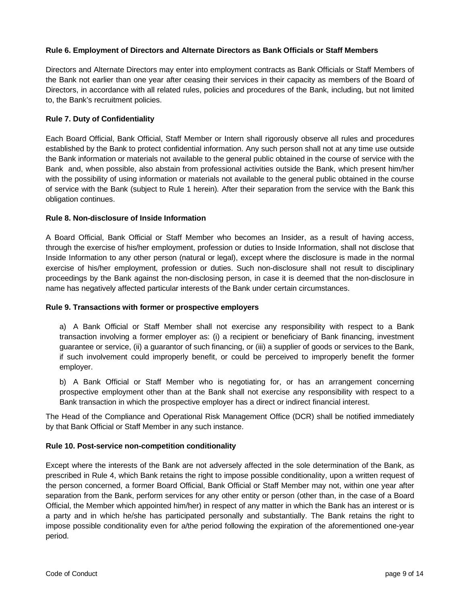# <span id="page-8-0"></span>**Rule 6. Employment of Directors and Alternate Directors as Bank Officials or Staff Members**

Directors and Alternate Directors may enter into employment contracts as Bank Officials or Staff Members of the Bank not earlier than one year after ceasing their services in their capacity as members of the Board of Directors, in accordance with all related rules, policies and procedures of the Bank, including, but not limited to, the Bank's recruitment policies.

# <span id="page-8-1"></span>**Rule 7. Duty of Confidentiality**

Each Board Official, Bank Official, Staff Member or Intern shall rigorously observe all rules and procedures established by the Bank to protect confidential information. Any such person shall not at any time use outside the Bank information or materials not available to the general public obtained in the course of service with the Bank and, when possible, also abstain from professional activities outside the Bank, which present him/her with the possibility of using information or materials not available to the general public obtained in the course of service with the Bank (subject to Rule 1 herein)*.* After their separation from the service with the Bank this obligation continues.

# <span id="page-8-2"></span>**Rule 8. Non-disclosure of Inside Information**

A Board Official, Bank Official or Staff Member who becomes an Insider, as a result of having access, through the exercise of his/her employment, profession or duties to Inside Information, shall not disclose that Inside Information to any other person (natural or legal), except where the disclosure is made in the normal exercise of his/her employment, profession or duties. Such non-disclosure shall not result to disciplinary proceedings by the Bank against the non-disclosing person, in case it is deemed that the non-disclosure in name has negatively affected particular interests of the Bank under certain circumstances.

# <span id="page-8-3"></span>**Rule 9. Transactions with former or prospective employers**

a) A Bank Official or Staff Member shall not exercise any responsibility with respect to a Bank transaction involving a former employer as: (i) a recipient or beneficiary of Bank financing, investment guarantee or service, (ii) a guarantor of such financing, or (iii) a supplier of goods or services to the Bank, if such involvement could improperly benefit, or could be perceived to improperly benefit the former employer.

b) A Bank Official or Staff Member who is negotiating for, or has an arrangement concerning prospective employment other than at the Bank shall not exercise any responsibility with respect to a Bank transaction in which the prospective employer has a direct or indirect financial interest.

The Head of the Compliance and Operational Risk Management Office (DCR) shall be notified immediately by that Bank Official or Staff Member in any such instance.

# <span id="page-8-4"></span>**Rule 10. Post-service non-competition conditionality**

Except where the interests of the Bank are not adversely affected in the sole determination of the Bank, as prescribed in Rule 4, which Bank retains the right to impose possible conditionality, upon a written request of the person concerned, a former Board Official, Bank Official or Staff Member may not, within one year after separation from the Bank, perform services for any other entity or person (other than, in the case of a Board Official, the Member which appointed him/her) in respect of any matter in which the Bank has an interest or is a party and in which he/she has participated personally and substantially. The Bank retains the right to impose possible conditionality even for a/the period following the expiration of the aforementioned one-year period.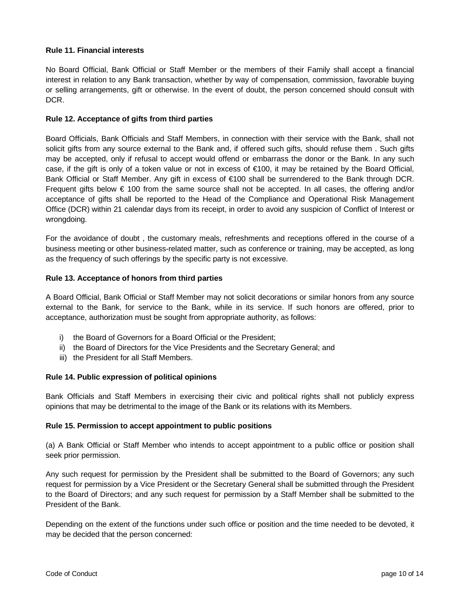# <span id="page-9-0"></span>**Rule 11. Financial interests**

No Board Official, Bank Official or Staff Member or the members of their Family shall accept a financial interest in relation to any Bank transaction, whether by way of compensation, commission, favorable buying or selling arrangements, gift or otherwise. In the event of doubt, the person concerned should consult with DCR.

# <span id="page-9-1"></span>**Rule 12. Acceptance of gifts from third parties**

Board Officials, Bank Officials and Staff Members, in connection with their service with the Bank, shall not solicit gifts from any source external to the Bank and, if offered such gifts, should refuse them . Such gifts may be accepted, only if refusal to accept would offend or embarrass the donor or the Bank. In any such case, if the gift is only of a token value or not in excess of €100, it may be retained by the Board Official, Bank Official or Staff Member. Any gift in excess of €100 shall be surrendered to the Bank through DCR. Frequent gifts below € 100 from the same source shall not be accepted. In all cases, the offering and/or acceptance of gifts shall be reported to the Head of the Compliance and Operational Risk Management Office (DCR) within 21 calendar days from its receipt, in order to avoid any suspicion of Conflict of Interest or wrongdoing.

For the avoidance of doubt , the customary meals, refreshments and receptions offered in the course of a business meeting or other business-related matter, such as conference or training, may be accepted, as long as the frequency of such offerings by the specific party is not excessive.

# <span id="page-9-2"></span>**Rule 13. Acceptance of honors from third parties**

A Board Official, Bank Official or Staff Member may not solicit decorations or similar honors from any source external to the Bank, for service to the Bank, while in its service. If such honors are offered, prior to acceptance, authorization must be sought from appropriate authority, as follows:

- i) the Board of Governors for a Board Official or the President;
- ii) the Board of Directors for the Vice Presidents and the Secretary General; and
- iii) the President for all Staff Members.

## <span id="page-9-3"></span>**Rule 14. Public expression of political opinions**

Bank Officials and Staff Members in exercising their civic and political rights shall not publicly express opinions that may be detrimental to the image of the Bank or its relations with its Members.

## <span id="page-9-4"></span>**Rule 15. Permission to accept appointment to public positions**

(a) A Bank Official or Staff Member who intends to accept appointment to a public office or position shall seek prior permission.

Any such request for permission by the President shall be submitted to the Board of Governors; any such request for permission by a Vice President or the Secretary General shall be submitted through the President to the Board of Directors; and any such request for permission by a Staff Member shall be submitted to the President of the Bank.

Depending on the extent of the functions under such office or position and the time needed to be devoted, it may be decided that the person concerned: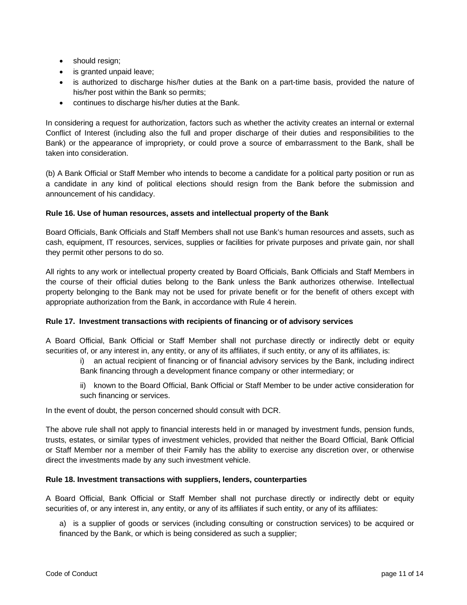- should resign;
- is granted unpaid leave;
- is authorized to discharge his/her duties at the Bank on a part-time basis, provided the nature of his/her post within the Bank so permits;
- continues to discharge his/her duties at the Bank.

In considering a request for authorization, factors such as whether the activity creates an internal or external Conflict of Interest (including also the full and proper discharge of their duties and responsibilities to the Bank) or the appearance of impropriety, or could prove a source of embarrassment to the Bank, shall be taken into consideration.

(b) A Bank Official or Staff Member who intends to become a candidate for a political party position or run as a candidate in any kind of political elections should resign from the Bank before the submission and announcement of his candidacy.

# <span id="page-10-0"></span>**Rule 16. Use of human resources, assets and intellectual property of the Bank**

Board Officials, Bank Officials and Staff Members shall not use Bank's human resources and assets, such as cash, equipment, IT resources, services, supplies or facilities for private purposes and private gain, nor shall they permit other persons to do so.

All rights to any work or intellectual property created by Board Officials, Bank Officials and Staff Members in the course of their official duties belong to the Bank unless the Bank authorizes otherwise. Intellectual property belonging to the Bank may not be used for private benefit or for the benefit of others except with appropriate authorization from the Bank, in accordance with Rule 4 herein.

# <span id="page-10-1"></span>**Rule 17. Investment transactions with recipients of financing or of advisory services**

A Board Official, Bank Official or Staff Member shall not purchase directly or indirectly debt or equity securities of, or any interest in, any entity, or any of its affiliates, if such entity, or any of its affiliates, is:

- i) an actual recipient of financing or of financial advisory services by the Bank, including indirect Bank financing through a development finance company or other intermediary; or
- ii) known to the Board Official, Bank Official or Staff Member to be under active consideration for such financing or services.

In the event of doubt, the person concerned should consult with DCR.

The above rule shall not apply to financial interests held in or managed by investment funds, pension funds, trusts, estates, or similar types of investment vehicles, provided that neither the Board Official, Bank Official or Staff Member nor a member of their Family has the ability to exercise any discretion over, or otherwise direct the investments made by any such investment vehicle.

## <span id="page-10-2"></span>**Rule 18. Investment transactions with suppliers, lenders, counterparties**

A Board Official, Bank Official or Staff Member shall not purchase directly or indirectly debt or equity securities of, or any interest in, any entity, or any of its affiliates if such entity, or any of its affiliates:

a) is a supplier of goods or services (including consulting or construction services) to be acquired or financed by the Bank, or which is being considered as such a supplier;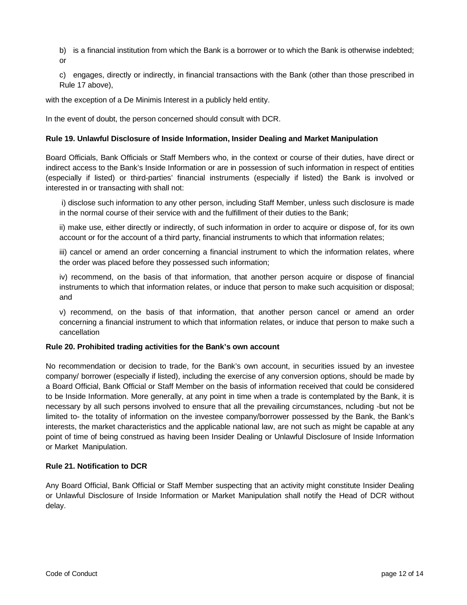b) is a financial institution from which the Bank is a borrower or to which the Bank is otherwise indebted; or

c) engages, directly or indirectly, in financial transactions with the Bank (other than those prescribed in Rule 17 above),

with the exception of a De Minimis Interest in a publicly held entity.

In the event of doubt, the person concerned should consult with DCR.

# <span id="page-11-0"></span>**Rule 19. Unlawful Disclosure of Inside Information, Insider Dealing and Market Manipulation**

Board Officials, Bank Officials or Staff Members who, in the context or course of their duties, have direct or indirect access to the Bank's Inside Information or are in possession of such information in respect of entities (especially if listed) or third-parties' financial instruments (especially if listed) the Bank is involved or interested in or transacting with shall not:

i) disclose such information to any other person, including Staff Member, unless such disclosure is made in the normal course of their service with and the fulfillment of their duties to the Bank;

ii) make use, either directly or indirectly, of such information in order to acquire or dispose of, for its own account or for the account of a third party, financial instruments to which that information relates;

iii) cancel or amend an order concerning a financial instrument to which the information relates, where the order was placed before they possessed such information;

iv) recommend, on the basis of that information, that another person acquire or dispose of financial instruments to which that information relates, or induce that person to make such acquisition or disposal; and

v) recommend, on the basis of that information, that another person cancel or amend an order concerning a financial instrument to which that information relates, or induce that person to make such a cancellation

## <span id="page-11-1"></span>**Rule 20. Prohibited trading activities for the Bank's own account**

No recommendation or decision to trade, for the Bank's own account, in securities issued by an investee company/ borrower (especially if listed), including the exercise of any conversion options, should be made by a Board Official, Bank Official or Staff Member on the basis of information received that could be considered to be Inside Information. More generally, at any point in time when a trade is contemplated by the Bank, it is necessary by all such persons involved to ensure that all the prevailing circumstances, ncluding -but not be limited to- the totality of information on the investee company/borrower possessed by the Bank, the Bank's interests, the market characteristics and the applicable national law, are not such as might be capable at any point of time of being construed as having been Insider Dealing or Unlawful Disclosure of Inside Information or Market Manipulation.

## <span id="page-11-2"></span>**Rule 21. Notification to DCR**

Any Board Official, Bank Official or Staff Member suspecting that an activity might constitute Insider Dealing or Unlawful Disclosure of Inside Information or Market Manipulation shall notify the Head of DCR without delay.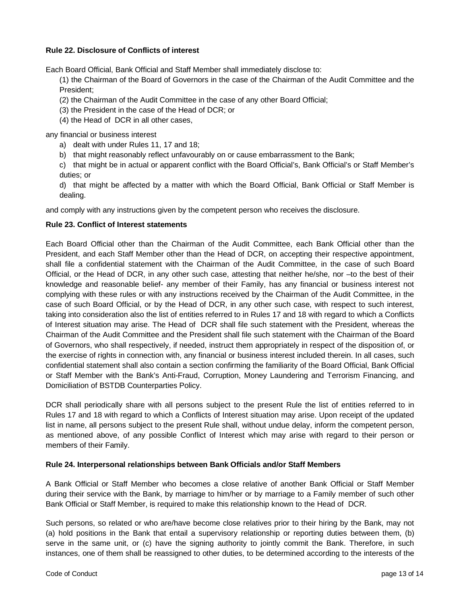# <span id="page-12-0"></span>**Rule 22. Disclosure of Conflicts of interest**

Each Board Official, Bank Official and Staff Member shall immediately disclose to:

(1) the Chairman of the Board of Governors in the case of the Chairman of the Audit Committee and the President;

- (2) the Chairman of the Audit Committee in the case of any other Board Official;
- (3) the President in the case of the Head of DCR; or
- (4) the Head of DCR in all other cases,

any financial or business interest

- a) dealt with under Rules 11, 17 and 18;
- b) that might reasonably reflect unfavourably on or cause embarrassment to the Bank;

c) that might be in actual or apparent conflict with the Board Official's, Bank Official's or Staff Member's duties; or

d) that might be affected by a matter with which the Board Official, Bank Official or Staff Member is dealing.

and comply with any instructions given by the competent person who receives the disclosure.

## <span id="page-12-1"></span>**Rule 23. Conflict of Interest statements**

Each Board Official other than the Chairman of the Audit Committee, each Bank Official other than the President, and each Staff Member other than the Head of DCR, on accepting their respective appointment, shall file a confidential statement with the Chairman of the Audit Committee, in the case of such Board Official, or the Head of DCR, in any other such case, attesting that neither he/she, nor –to the best of their knowledge and reasonable belief- any member of their Family, has any financial or business interest not complying with these rules or with any instructions received by the Chairman of the Audit Committee, in the case of such Board Official, or by the Head of DCR, in any other such case, with respect to such interest, taking into consideration also the list of entities referred to in Rules 17 and 18 with regard to which a Conflicts of Interest situation may arise. The Head of DCR shall file such statement with the President, whereas the Chairman of the Audit Committee and the President shall file such statement with the Chairman of the Board of Governors, who shall respectively, if needed, instruct them appropriately in respect of the disposition of, or the exercise of rights in connection with, any financial or business interest included therein. In all cases, such confidential statement shall also contain a section confirming the familiarity of the Board Official, Bank Official or Staff Member with the Bank's Anti-Fraud, Corruption, Money Laundering and Terrorism Financing, and Domiciliation of BSTDB Counterparties Policy.

DCR shall periodically share with all persons subject to the present Rule the list of entities referred to in Rules 17 and 18 with regard to which a Conflicts of Interest situation may arise. Upon receipt of the updated list in name, all persons subject to the present Rule shall, without undue delay, inform the competent person, as mentioned above, of any possible Conflict of Interest which may arise with regard to their person or members of their Family.

## <span id="page-12-2"></span>**Rule 24. Interpersonal relationships between Bank Officials and/or Staff Members**

A Bank Official or Staff Member who becomes a close relative of another Bank Official or Staff Member during their service with the Bank, by marriage to him/her or by marriage to a Family member of such other Bank Official or Staff Member, is required to make this relationship known to the Head of DCR.

Such persons, so related or who are/have become close relatives prior to their hiring by the Bank, may not (a) hold positions in the Bank that entail a supervisory relationship or reporting duties between them, (b) serve in the same unit, or (c) have the signing authority to jointly commit the Bank. Therefore, in such instances, one of them shall be reassigned to other duties, to be determined according to the interests of the